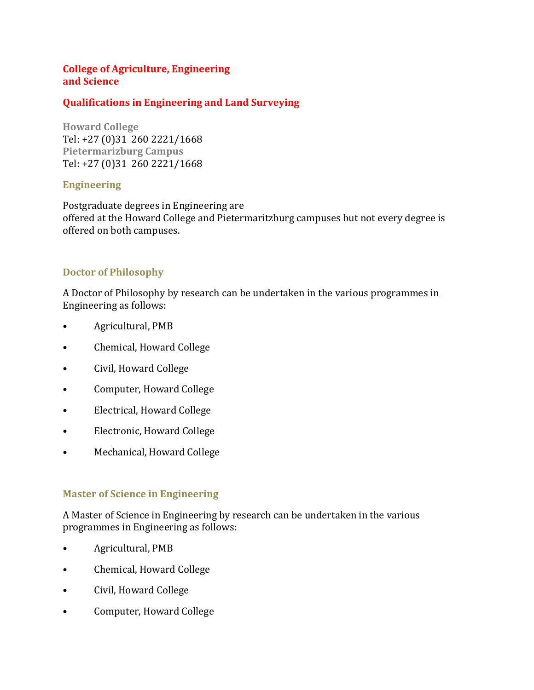### **College of Agriculture, Engineering and Science**

### **Qualifications in Engineering and Land Surveying**

**Howard College** Tel: +27 (0)31 260 2221/1668 **Pietermarizburg Campus** Tel: +27 (0)31 260 2221/1668

#### **Engineering**

Postgraduate degrees in Engineering are offered at the Howard College and Pietermaritzburg campuses but not every degree is offered on both campuses.

## **Doctor of Philosophy**

A Doctor of Philosophy by research can be undertaken in the various programmes in Engineering as follows:

- Agricultural, PMB
- Chemical, Howard College
- Civil, Howard College
- Computer, Howard College
- Electrical, Howard College
- Electronic, Howard College
- Mechanical, Howard College

#### **Master of Science in Engineering**

A Master of Science in Engineering by research can be undertaken in the various programmes in Engineering as follows:

- Agricultural, PMB
- Chemical, Howard College
- Civil, Howard College
- Computer, Howard College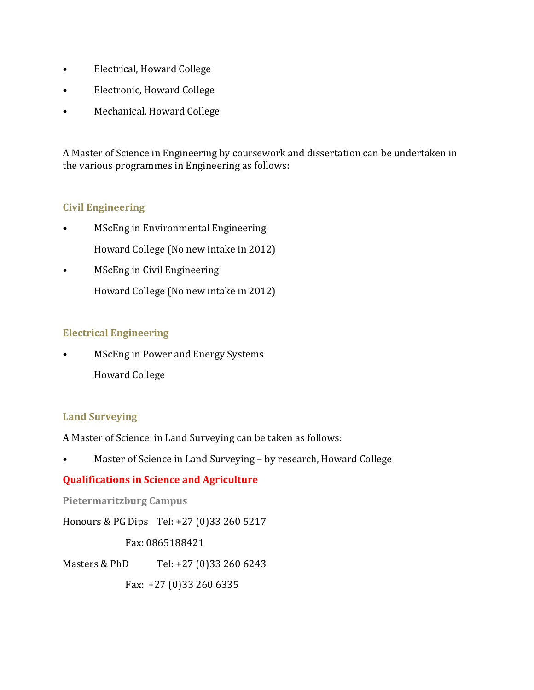- Electrical, Howard College
- Electronic, Howard College
- Mechanical, Howard College

A Master of Science in Engineering by coursework and dissertation can be undertaken in the various programmes in Engineering as follows:

# **Civil Engineering**

- MScEng in Environmental Engineering Howard College (No new intake in 2012)
- MScEng in Civil Engineering Howard College (No new intake in 2012)

# **Electrical Engineering**

• MScEng in Power and Energy Systems Howard College

## **Land Surveying**

A Master of Science in Land Surveying can be taken as follows:

• Master of Science in Land Surveying – by research, Howard College

## **Qualifications in Science and Agriculture**

**Pietermaritzburg Campus** 

Honours & PG Dips Tel: +27 (0)33 260 5217

Fax: 0865188421

Masters & PhD Tel: +27 (0)33 260 6243

Fax: +27 (0)33 260 6335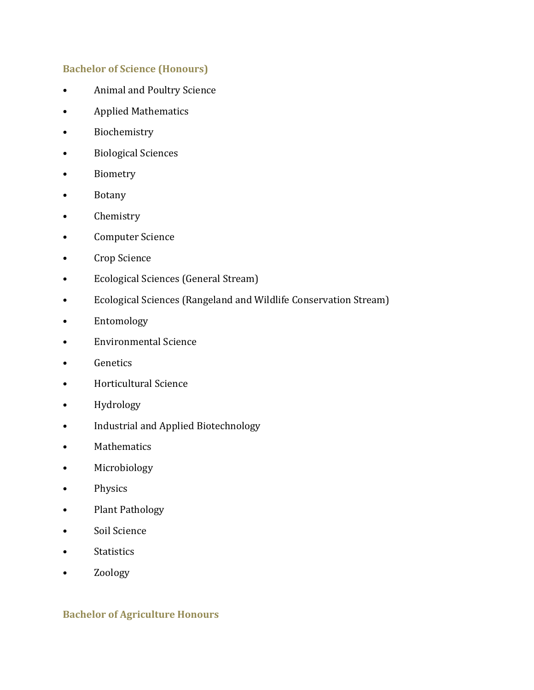### **Bachelor of Science (Honours)**

- Animal and Poultry Science
- Applied Mathematics
- Biochemistry
- Biological Sciences
- Biometry
- Botany
- Chemistry
- Computer Science
- Crop Science
- Ecological Sciences (General Stream)
- Ecological Sciences (Rangeland and Wildlife Conservation Stream)
- Entomology
- Environmental Science
- Genetics
- Horticultural Science
- Hydrology
- Industrial and Applied Biotechnology
- Mathematics
- Microbiology
- Physics
- Plant Pathology
- Soil Science
- Statistics
- Zoology

#### **Bachelor of Agriculture Honours**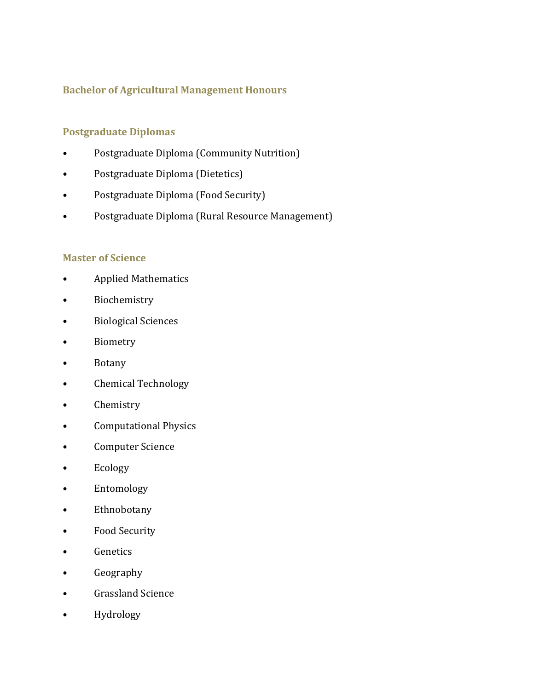## **Bachelor of Agricultural Management Honours**

### **Postgraduate Diplomas**

- Postgraduate Diploma (Community Nutrition)
- Postgraduate Diploma (Dietetics)
- Postgraduate Diploma (Food Security)
- Postgraduate Diploma (Rural Resource Management)

#### **Master of Science**

- Applied Mathematics
- Biochemistry
- Biological Sciences
- Biometry
- Botany
- Chemical Technology
- Chemistry
- Computational Physics
- Computer Science
- Ecology
- Entomology
- Ethnobotany
- Food Security
- Genetics
- Geography
- Grassland Science
- Hydrology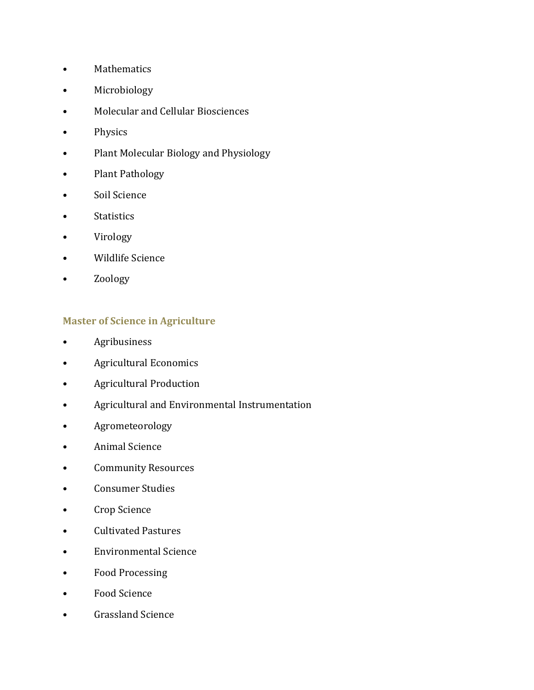- Mathematics
- Microbiology
- Molecular and Cellular Biosciences
- Physics
- Plant Molecular Biology and Physiology
- Plant Pathology
- Soil Science
- Statistics
- Virology
- Wildlife Science
- Zoology

### **Master of Science in Agriculture**

- Agribusiness
- Agricultural Economics
- Agricultural Production
- Agricultural and Environmental Instrumentation
- Agrometeorology
- Animal Science
- Community Resources
- Consumer Studies
- Crop Science
- Cultivated Pastures
- Environmental Science
- Food Processing
- Food Science
- Grassland Science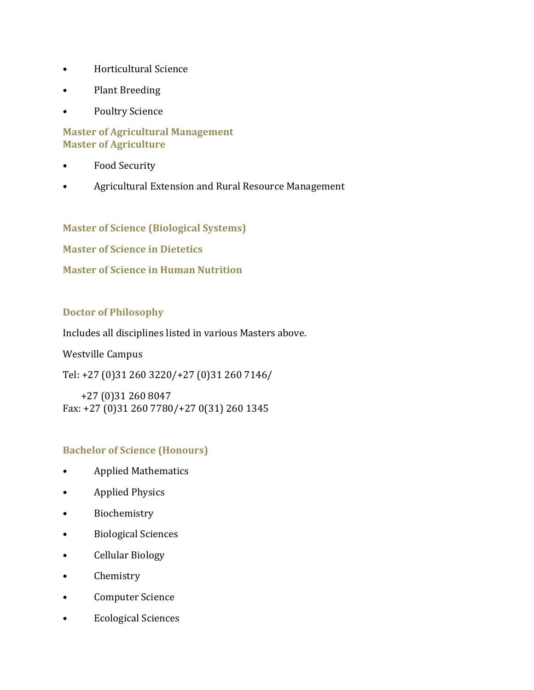- Horticultural Science
- Plant Breeding
- Poultry Science

#### **Master of Agricultural Management Master of Agriculture**

- Food Security
- Agricultural Extension and Rural Resource Management

**Master of Science (Biological Systems)**

**Master of Science in Dietetics**

#### **Master of Science in Human Nutrition**

#### **Doctor of Philosophy**

Includes all disciplines listed in various Masters above.

Westville Campus

Tel: +27 (0)31 260 3220/+27 (0)31 260 7146/

 +27 (0)31 260 8047 Fax: +27 (0)31 260 7780/+27 0(31) 260 1345

#### **Bachelor of Science (Honours)**

- Applied Mathematics
- Applied Physics
- Biochemistry
- Biological Sciences
- Cellular Biology
- Chemistry
- Computer Science
- Ecological Sciences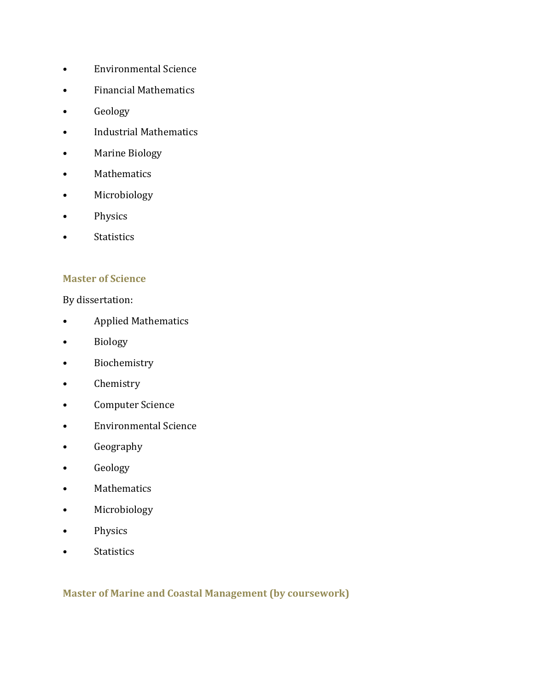- Environmental Science
- Financial Mathematics
- Geology
- Industrial Mathematics
- Marine Biology
- Mathematics
- Microbiology
- Physics
- Statistics

#### **Master of Science**

By dissertation:

- Applied Mathematics
- Biology
- Biochemistry
- Chemistry
- Computer Science
- Environmental Science
- Geography
- Geology
- Mathematics
- Microbiology
- Physics
- Statistics

## **Master of Marine and Coastal Management (by coursework)**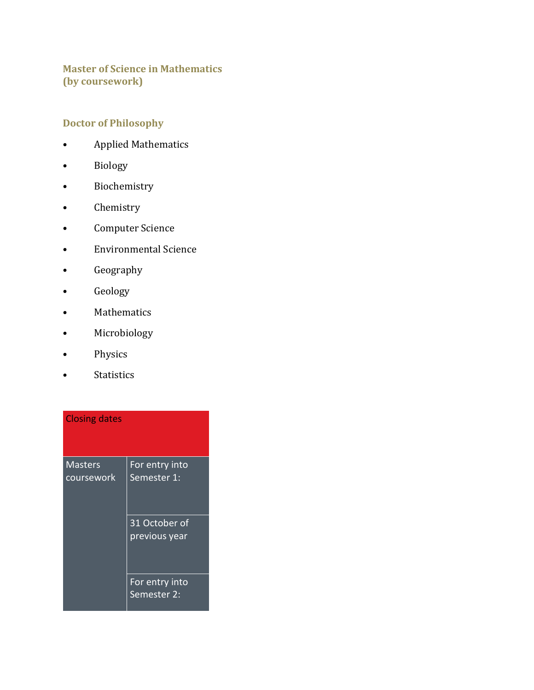# **Master of Science in Mathematics (by coursework)**

# **Doctor of Philosophy**

- Applied Mathematics
- Biology
- Biochemistry
- Chemistry
- Computer Science
- Environmental Science
- Geography
- Geology
- Mathematics
- Microbiology
- Physics
- Statistics

| <b>Closing dates</b>         |                                          |
|------------------------------|------------------------------------------|
| <b>Masters</b><br>coursework | For entry into<br>Semester 1:            |
|                              | 31 October of<br>previous year           |
|                              | For entry into<br>Semester <sub>2:</sub> |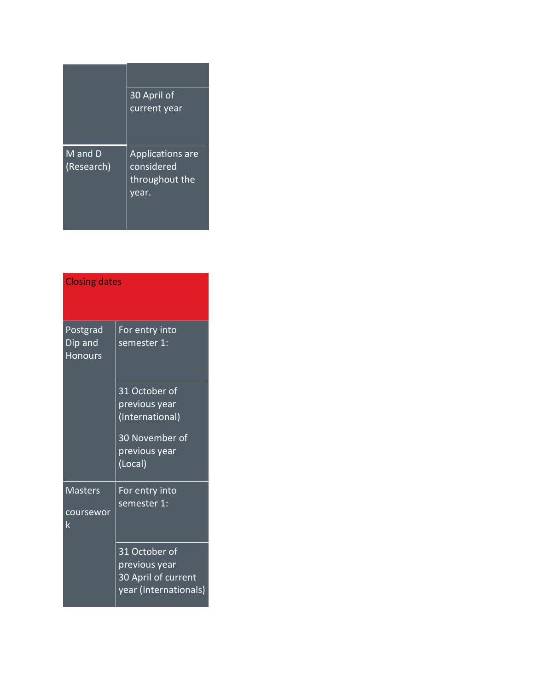|                       | 30 April of<br>current year                                      |
|-----------------------|------------------------------------------------------------------|
| M and D<br>(Research) | <b>Applications are</b><br>considered<br>throughout the<br>year. |

| <b>Closing dates</b>                         |                                                                                                 |  |
|----------------------------------------------|-------------------------------------------------------------------------------------------------|--|
| <b>Postgrad</b><br>Dip and<br><b>Honours</b> | For entry into<br>semester 1:                                                                   |  |
|                                              | 31 October of<br>previous year<br>(International)<br>30 November of<br>previous year<br>(Local) |  |
| <b>Masters</b><br>coursewor<br>$\mathsf k$   | For entry into<br>semester 1:                                                                   |  |
|                                              | 31 October of<br>previous year<br>30 April of current<br>year (Internationals)                  |  |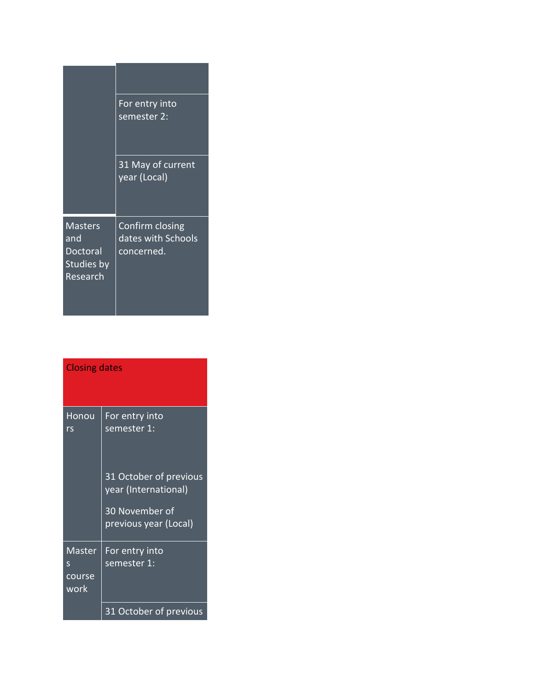|                                                             | For entry into<br>semester 2:                       |
|-------------------------------------------------------------|-----------------------------------------------------|
|                                                             | 31 May of current<br>year (Local)                   |
| <b>Masters</b><br>and<br>Doctoral<br>Studies by<br>Research | Confirm closing<br>dates with Schools<br>concerned. |

| <b>Closing dates</b>          |                                                |  |
|-------------------------------|------------------------------------------------|--|
| Honou<br>rs                   | For entry into<br>semester 1:                  |  |
|                               | 31 October of previous<br>year (International) |  |
|                               | 30 November of<br>previous year (Local)        |  |
| Master<br>S<br>course<br>work | For entry into<br>semester 1:                  |  |
|                               | 31 October of previous                         |  |